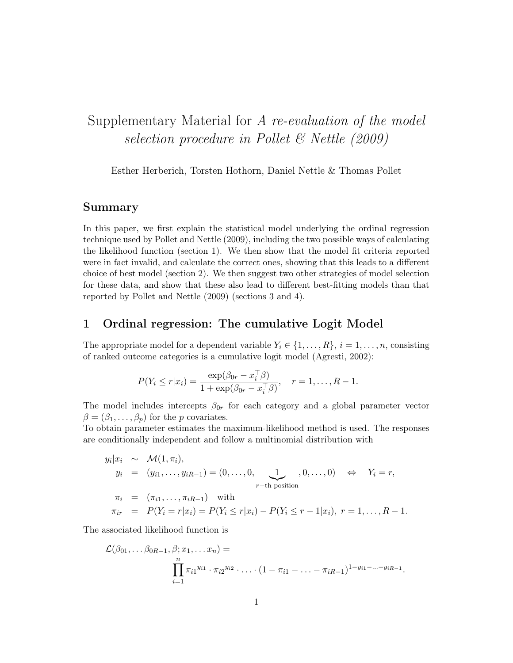# Supplementary Material for A re-evaluation of the model selection procedure in Pollet & Nettle (2009)

Esther Herberich, Torsten Hothorn, Daniel Nettle & Thomas Pollet

#### Summary

In this paper, we first explain the statistical model underlying the ordinal regression technique used by Pollet and Nettle (2009), including the two possible ways of calculating the likelihood function (section 1). We then show that the model fit criteria reported were in fact invalid, and calculate the correct ones, showing that this leads to a different choice of best model (section 2). We then suggest two other strategies of model selection for these data, and show that these also lead to different best-fitting models than that reported by Pollet and Nettle (2009) (sections 3 and 4).

#### 1 Ordinal regression: The cumulative Logit Model

The appropriate model for a dependent variable  $Y_i \in \{1, \ldots, R\}, i = 1, \ldots, n$ , consisting of ranked outcome categories is a cumulative logit model (Agresti, 2002):

$$
P(Y_i \le r | x_i) = \frac{\exp(\beta_{0r} - x_i^{\top}\beta)}{1 + \exp(\beta_{0r} - x_i^{\top}\beta)}, \quad r = 1, \dots, R - 1.
$$

The model includes intercepts  $\beta_{0r}$  for each category and a global parameter vector  $\beta = (\beta_1, \ldots, \beta_p)$  for the p covariates.

To obtain parameter estimates the maximum-likelihood method is used. The responses are conditionally independent and follow a multinomial distribution with

$$
y_i | x_i \sim \mathcal{M}(1, \pi_i),
$$
  
\n
$$
y_i = (y_{i1}, \dots, y_{iR-1}) = (0, \dots, 0, \underbrace{1}_{r-\text{th position}}, 0, \dots, 0) \Leftrightarrow Y_i = r,
$$
  
\n
$$
\pi_i = (\pi_{i1}, \dots, \pi_{iR-1}) \text{ with}
$$
  
\n
$$
\pi_{ir} = P(Y_i = r | x_i) = P(Y_i \le r | x_i) - P(Y_i \le r - 1 | x_i), r = 1, \dots, R - 1.
$$

The associated likelihood function is

$$
\mathcal{L}(\beta_{01}, \ldots \beta_{0R-1}, \beta; x_1, \ldots x_n) = \prod_{i=1}^n \pi_{i1}^{y_{i1}} \cdot \pi_{i2}^{y_{i2}} \cdot \ldots \cdot (1 - \pi_{i1} - \ldots - \pi_{iR-1})^{1 - y_{i1} - \ldots - y_{iR-1}}.
$$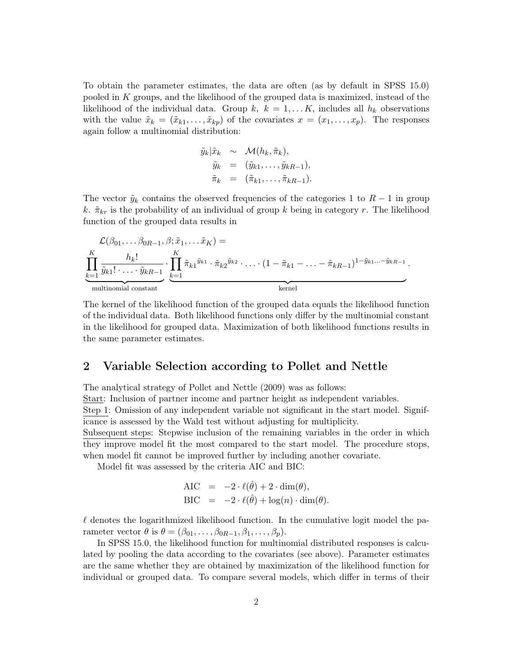To obtain the parameter estimates, the data are often (as by default in SPSS 15.0) pooled in K groups, and the likelihood of the grouped data is maximized, instead of the likelihood of the individual data. Group k,  $k = 1, \ldots K$ , includes all  $h_k$  observations with the value  $\tilde{x}_k = (\tilde{x}_{k1}, \ldots, \tilde{x}_{kp})$  of the covariates  $x = (x_1, \ldots, x_p)$ . The responses again follow a multinomial distribution:

$$
\tilde{y}_k|\tilde{x}_k \sim \mathcal{M}(h_k, \tilde{\pi}_k),
$$
  
\n
$$
\tilde{y}_k = (\tilde{y}_{k1}, \dots, \tilde{y}_{kR-1}),
$$
  
\n
$$
\tilde{\pi}_k = (\tilde{\pi}_{k1}, \dots, \tilde{\pi}_{kR-1}).
$$

The vector  $\tilde{y}_k$  contains the observed frequencies of the categories 1 to  $R-1$  in group k.  $\tilde{\pi}_{kr}$  is the probability of an individual of group k being in category r. The likelihood function of the grouped data results in

$$
\mathcal{L}(\beta_{01},\ldots,\beta_{0R-1},\beta;\tilde{x}_1,\ldots,\tilde{x}_K) = \underbrace{\prod_{k=1}^K \tilde{y}_{k1}! \cdots \tilde{y}_{kR-1}}_{\text{multinomial constant}} \cdot \underbrace{\prod_{k=1}^K \tilde{\pi}_{k1}^{\tilde{y}_{k1}} \cdot \tilde{\pi}_{k2}^{\tilde{y}_{k2}} \cdot \ldots \cdot (1 - \tilde{\pi}_{k1} - \ldots - \tilde{\pi}_{kR-1})^{1 - \tilde{y}_{k1} \ldots - \tilde{y}_{kR-1}}}_{\text{kernel}}.
$$

The kernel of the likelihood function of the grouped data equals the likelihood function of the individual data. Both likelihood functions only differ by the multinomial constant in the likelihood for grouped data. Maximization of both likelihood functions results in the same parameter estimates.

## 2 Variable Selection according to Pollet and Nettle

The analytical strategy of Pollet and Nettle (2009) was as follows:

Start: Inclusion of partner income and partner height as independent variables. Step 1: Omission of any independent variable not significant in the start model. Signif-

icance is assessed by the Wald test without adjusting for multiplicity.

Subsequent steps: Stepwise inclusion of the remaining variables in the order in which they improve model fit the most compared to the start model. The procedure stops, when model fit cannot be improved further by including another covariate.

Model fit was assessed by the criteria AIC and BIC:

AIC = 
$$
-2 \cdot \ell(\hat{\theta}) + 2 \cdot \dim(\theta)
$$
,  
BIC =  $-2 \cdot \ell(\hat{\theta}) + \log(n) \cdot \dim(\theta)$ .

 $\ell$  denotes the logarithmized likelihood function. In the cumulative logit model the parameter vector  $\theta$  is  $\theta = (\beta_{01}, \ldots, \beta_{0R-1}, \beta_1, \ldots, \beta_p).$ 

In SPSS 15.0, the likelihood function for multinomial distributed responses is calculated by pooling the data according to the covariates (see above). Parameter estimates are the same whether they are obtained by maximization of the likelihood function for individual or grouped data. To compare several models, which differ in terms of their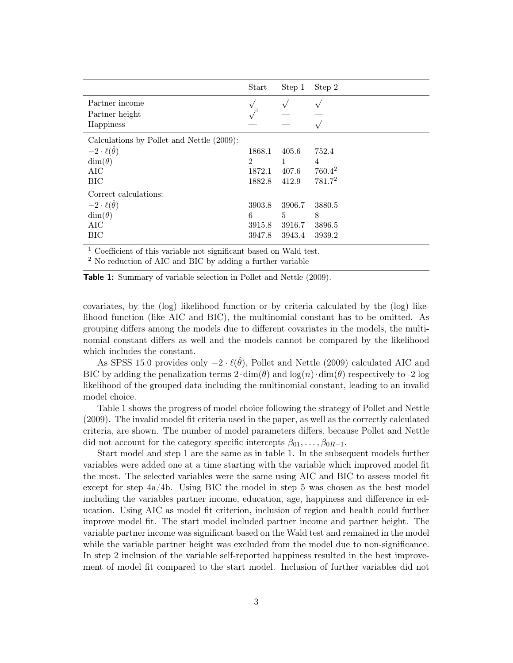|                                                                                                            | Start                                        | Step 1                                      | Step 2                                        |
|------------------------------------------------------------------------------------------------------------|----------------------------------------------|---------------------------------------------|-----------------------------------------------|
| Partner income<br>Partner height<br>Happiness                                                              |                                              |                                             |                                               |
| Calculations by Pollet and Nettle (2009):<br>$-2 \cdot \ell(\hat{\theta})$<br>$\dim(\theta)$<br>AIC<br>BIC | 1868.1<br>$\mathfrak{D}$<br>1872.1<br>1882.8 | 405.6<br>1<br>407.6<br>412.9                | 752.4<br>4<br>$760.4^2$<br>781.7 <sup>2</sup> |
| Correct calculations:<br>$-2 \cdot \ell(\hat{\theta})$<br>$\dim(\theta)$<br>AIC<br>BIC                     | 3903.8<br>6<br>3915.8<br>3947.8              | 3906.7<br>$\frac{5}{2}$<br>3916.7<br>3943.4 | 3880.5<br>8<br>3896.5<br>3939.2               |

<sup>1</sup> Coefficient of this variable not significant based on Wald test.

<sup>2</sup> No reduction of AIC and BIC by adding a further variable

Table 1: Summary of variable selection in Pollet and Nettle (2009).

covariates, by the (log) likelihood function or by criteria calculated by the (log) likelihood function (like AIC and BIC), the multinomial constant has to be omitted. As grouping differs among the models due to different covariates in the models, the multinomial constant differs as well and the models cannot be compared by the likelihood which includes the constant.

As SPSS 15.0 provides only  $-2 \cdot \ell(\hat{\theta})$ , Pollet and Nettle (2009) calculated AIC and BIC by adding the penalization terms  $2 \cdot \dim(\theta)$  and  $\log(n) \cdot \dim(\theta)$  respectively to -2 log likelihood of the grouped data including the multinomial constant, leading to an invalid model choice.

Table 1 shows the progress of model choice following the strategy of Pollet and Nettle (2009). The invalid model fit criteria used in the paper, as well as the correctly calculated criteria, are shown. The number of model parameters differs, because Pollet and Nettle did not account for the category specific intercepts  $\beta_{01}, \ldots, \beta_{0R-1}$ .

Start model and step 1 are the same as in table 1. In the subsequent models further variables were added one at a time starting with the variable which improved model fit the most. The selected variables were the same using AIC and BIC to assess model fit except for step 4a/4b. Using BIC the model in step 5 was chosen as the best model including the variables partner income, education, age, happiness and difference in education. Using AIC as model fit criterion, inclusion of region and health could further improve model fit. The start model included partner income and partner height. The variable partner income was significant based on the Wald test and remained in the model while the variable partner height was excluded from the model due to non-significance. In step 2 inclusion of the variable self-reported happiness resulted in the best improvement of model fit compared to the start model. Inclusion of further variables did not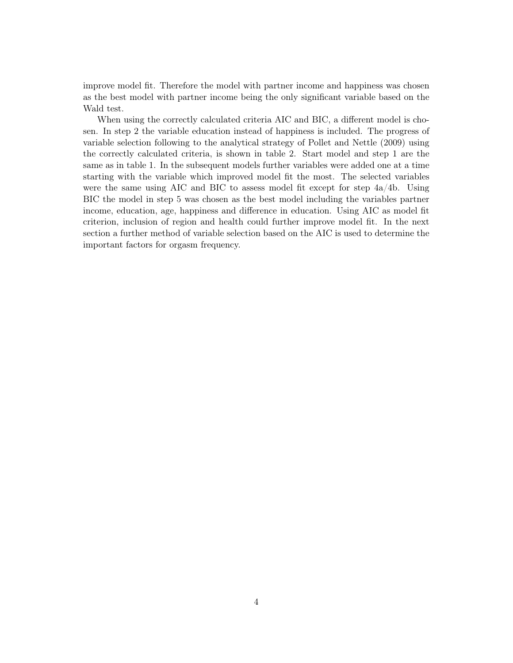improve model fit. Therefore the model with partner income and happiness was chosen as the best model with partner income being the only significant variable based on the Wald test.

When using the correctly calculated criteria AIC and BIC, a different model is chosen. In step 2 the variable education instead of happiness is included. The progress of variable selection following to the analytical strategy of Pollet and Nettle (2009) using the correctly calculated criteria, is shown in table 2. Start model and step 1 are the same as in table 1. In the subsequent models further variables were added one at a time starting with the variable which improved model fit the most. The selected variables were the same using AIC and BIC to assess model fit except for step 4a/4b. Using BIC the model in step 5 was chosen as the best model including the variables partner income, education, age, happiness and difference in education. Using AIC as model fit criterion, inclusion of region and health could further improve model fit. In the next section a further method of variable selection based on the AIC is used to determine the important factors for orgasm frequency.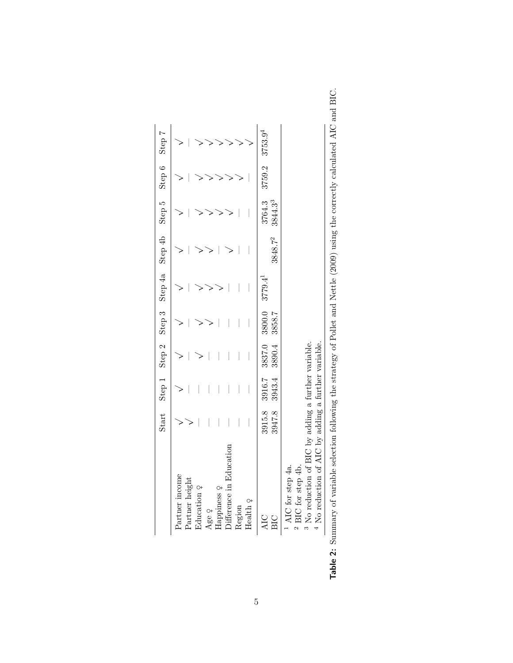|                         |               |                      |               |        | Start Step 1 Step 2 Step 3 Step 4a Step 4b Step 5 Step 6 Step 7 |         |        |         |
|-------------------------|---------------|----------------------|---------------|--------|-----------------------------------------------------------------|---------|--------|---------|
| Partner income          |               |                      |               |        |                                                                 |         |        |         |
| Partner height          |               |                      |               |        |                                                                 |         |        |         |
| Iducation $9$           |               |                      |               |        |                                                                 |         |        |         |
| Age ?                   |               |                      |               |        |                                                                 |         |        |         |
| dappiness ?             |               |                      |               |        |                                                                 |         |        |         |
| difference in Education |               |                      |               |        |                                                                 |         |        |         |
| Region                  |               |                      |               |        |                                                                 |         |        |         |
| Health <sub>2</sub>     |               |                      |               |        |                                                                 |         |        |         |
|                         | 3915.8 3916.7 |                      | 3837.0 3800.0 | 3779.4 |                                                                 | 3764.3  | 3759.2 | 3753.94 |
|                         |               | 3947.8 3943.4 3890.4 | 3858.7        |        | 3848.7 <sup>2</sup>                                             | 3844.33 |        |         |
| AIC for step 4a.        |               |                      |               |        |                                                                 |         |        |         |
| BIC for step 4b.        |               |                      |               |        |                                                                 |         |        |         |

Table 2: Summary of variable selection following the strategy of Pollet and Nettle (2009) using the correctly calculated AIC and BIC. Table 2: Summary of variable selection following the strategy of Pollet and Nettle (2009) using the correctly calculated AIC and BIC.

ಣ <del>4</del>

 No reduction of BIC by adding a further variable. No reduction of AIC by adding a further variable.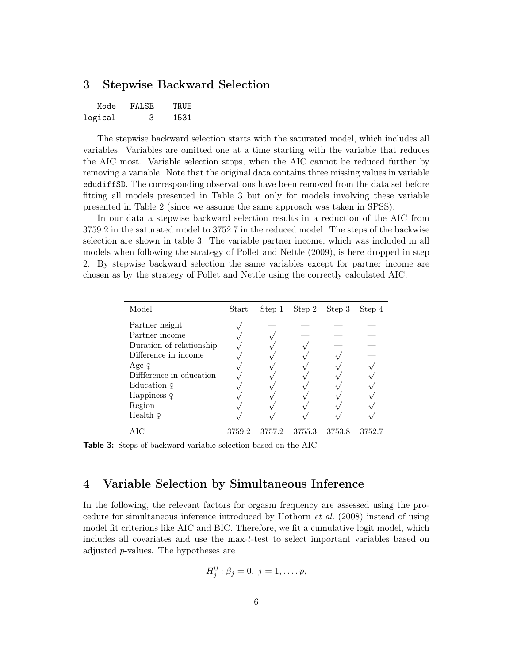### 3 Stepwise Backward Selection

| Mode    | FALSE | TRUE. |
|---------|-------|-------|
| logical |       | 1531  |

The stepwise backward selection starts with the saturated model, which includes all variables. Variables are omitted one at a time starting with the variable that reduces the AIC most. Variable selection stops, when the AIC cannot be reduced further by removing a variable. Note that the original data contains three missing values in variable edudiffSD. The corresponding observations have been removed from the data set before fitting all models presented in Table 3 but only for models involving these variable presented in Table 2 (since we assume the same approach was taken in SPSS).

In our data a stepwise backward selection results in a reduction of the AIC from 3759.2 in the saturated model to 3752.7 in the reduced model. The steps of the backwise selection are shown in table 3. The variable partner income, which was included in all models when following the strategy of Pollet and Nettle (2009), is here dropped in step 2. By stepwise backward selection the same variables except for partner income are chosen as by the strategy of Pollet and Nettle using the correctly calculated AIC.

| Model                    | Start  | Step 1 |        | Step 2 Step 3 | Step 4 |
|--------------------------|--------|--------|--------|---------------|--------|
| Partner height           |        |        |        |               |        |
| Partner income           |        |        |        |               |        |
| Duration of relationship |        |        |        |               |        |
| Difference in income     |        |        |        |               |        |
| Age $\varphi$            |        |        |        |               |        |
| Difference in education  |        |        |        |               |        |
| Education $\varphi$      |        |        |        |               |        |
| Happiness $\varphi$      |        |        |        |               |        |
| Region                   |        |        |        |               |        |
| Health $\varphi$         |        |        |        |               |        |
|                          | 3759.2 | 3757.2 | 3755.3 | 3753.8        | 3752.7 |

Table 3: Steps of backward variable selection based on the AIC.

#### 4 Variable Selection by Simultaneous Inference

In the following, the relevant factors for orgasm frequency are assessed using the procedure for simultaneous inference introduced by Hothorn et al. (2008) instead of using model fit criterions like AIC and BIC. Therefore, we fit a cumulative logit model, which includes all covariates and use the max-t-test to select important variables based on adjusted p-values. The hypotheses are

$$
H_j^0: \beta_j = 0, \ j = 1, \dots, p,
$$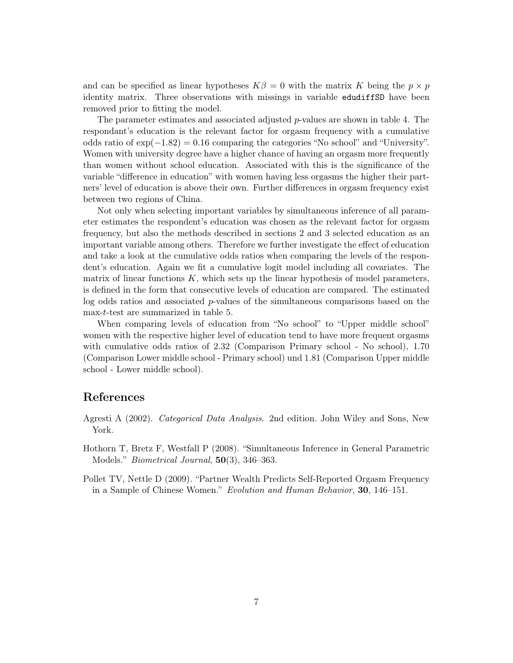and can be specified as linear hypotheses  $K\beta = 0$  with the matrix K being the  $p \times p$ identity matrix. Three observations with missings in variable edudiffSD have been removed prior to fitting the model.

The parameter estimates and associated adjusted  $p$ -values are shown in table 4. The respondant's education is the relevant factor for orgasm frequency with a cumulative odds ratio of  $\exp(-1.82) = 0.16$  comparing the categories "No school" and "University". Women with university degree have a higher chance of having an orgasm more frequently than women without school education. Associated with this is the significance of the variable "difference in education" with women having less orgasms the higher their partners' level of education is above their own. Further differences in orgasm frequency exist between two regions of China.

Not only when selecting important variables by simultaneous inference of all parameter estimates the respondent's education was chosen as the relevant factor for orgasm frequency, but also the methods described in sections 2 and 3 selected education as an important variable among others. Therefore we further investigate the effect of education and take a look at the cumulative odds ratios when comparing the levels of the respondent's education. Again we fit a cumulative logit model including all covariates. The matrix of linear functions  $K$ , which sets up the linear hypothesis of model parameters, is defined in the form that consecutive levels of education are compared. The estimated log odds ratios and associated p-values of the simultaneous comparisons based on the max-t-test are summarized in table 5.

When comparing levels of education from "No school" to "Upper middle school" women with the respective higher level of education tend to have more frequent orgasms with cumulative odds ratios of 2.32 (Comparison Primary school - No school), 1.70 (Comparison Lower middle school - Primary school) und 1.81 (Comparison Upper middle school - Lower middle school).

## References

- Agresti A (2002). Categorical Data Analysis. 2nd edition. John Wiley and Sons, New York.
- Hothorn T, Bretz F, Westfall P (2008). "Simultaneous Inference in General Parametric Models." *Biometrical Journal*, 50(3), 346-363.
- Pollet TV, Nettle D (2009). "Partner Wealth Predicts Self-Reported Orgasm Frequency in a Sample of Chinese Women." Evolution and Human Behavior, 30, 146–151.